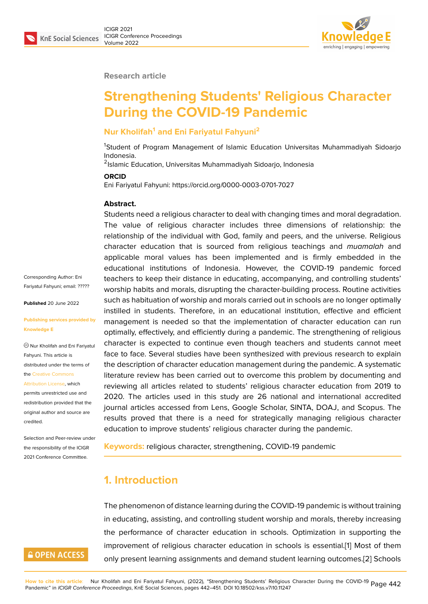#### **Research article**

# **Strengthening Students' Religious Character During the COVID-19 Pandemic**

#### **Nur Kholifah<sup>1</sup> and Eni Fariyatul Fahyuni<sup>2</sup>**

<sup>1</sup>Student of Program Management of Islamic Education Universitas Muhammadiyah Sidoarjo Indonesia.

2 Islamic Education, Universitas Muhammadiyah Sidoarjo, Indonesia

#### **ORCID**

Eni Fariyatul Fahyuni: https://orcid.org/0000-0003-0701-7027

#### **Abstract.**

Corresponding Author: Eni Fariyatul Fahyuni; email: ?????

**Published** 20 June 2022

#### **Publishing services pro[vided](mailto:?????) by Knowledge E**

Nur Kholifah and Eni Fariyatul Fahyuni. This article is distributed under the terms of the Creative Commons

Attribution License, which permits unrestricted use and redistribution provided that the orig[inal author and sou](https://creativecommons.org/licenses/by/4.0/)rce are

[credited.](https://creativecommons.org/licenses/by/4.0/)

Selection and Peer-review under the responsibility of the ICIGR 2021 Conference Committee.

**GOPEN ACCESS** 

Students need a religious character to deal with changing times and moral degradation. The value of religious character includes three dimensions of relationship: the relationship of the individual with God, family and peers, and the universe. Religious character education that is sourced from religious teachings and *muamalah* and applicable moral values has been implemented and is firmly embedded in the educational institutions of Indonesia. However, the COVID-19 pandemic forced teachers to keep their distance in educating, accompanying, and controlling students' worship habits and morals, disrupting the character-building process. Routine activities such as habituation of worship and morals carried out in schools are no longer optimally instilled in students. Therefore, in an educational institution, effective and efficient management is needed so that the implementation of character education can run optimally, effectively, and efficiently during a pandemic. The strengthening of religious character is expected to continue even though teachers and students cannot meet face to face. Several studies have been synthesized with previous research to explain the description of character education management during the pandemic. A systematic literature review has been carried out to overcome this problem by documenting and reviewing all articles related to students' religious character education from 2019 to 2020. The articles used in this study are 26 national and international accredited journal articles accessed from Lens, Google Scholar, SINTA, DOAJ, and Scopus. The results proved that there is a need for strategically managing religious character education to improve students' religious character during the pandemic.

**Keywords:** religious character, strengthening, COVID-19 pandemic

### **1. Introduction**

The phenomenon of distance learning during the COVID-19 pandemic is without training in educating, assisting, and controlling student worship and morals, thereby increasing the performance of character education in schools. Optimization in supporting the improvement of religious character education in schools is essential.[1] Most of them only present learning assignments and demand student learning outcomes.[2] Schools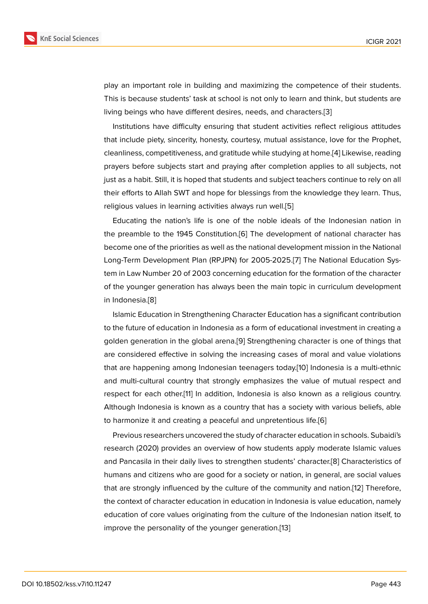play an important role in building and maximizing the competence of their students. This is because students' task at school is not only to learn and think, but students are living beings who have different desires, needs, and characters.[3]

Institutions have difficulty ensuring that student activities reflect religious attitudes that include piety, sincerity, honesty, courtesy, mutual assistance, love for the Prophet, cleanliness, competitiveness, and gratitude while studying at ho[me](#page-7-0).[4] Likewise, reading prayers before subjects start and praying after completion applies to all subjects, not just as a habit. Still, it is hoped that students and subject teachers continue to rely on all their efforts to Allah SWT and hope for blessings from the knowled[ge](#page-7-1) they learn. Thus, religious values in learning activities always run well.[5]

Educating the nation's life is one of the noble ideals of the Indonesian nation in the preamble to the 1945 Constitution.[6] The development of national character has become one of the priorities as well as the national de[ve](#page-7-2)lopment mission in the National Long-Term Development Plan (RPJPN) for 2005-2025.[7] The National Education System in Law Number 20 of 2003 concern[in](#page-7-3)g education for the formation of the character of the younger generation has always been the main topic in curriculum development in Indonesia.[8]

Islamic Education in Strengthening Character Education has a significant contribution to the future of education in Indonesia as a form of educational investment in creating a golden gene[ra](#page-7-4)tion in the global arena.[9] Strengthening character is one of things that are considered effective in solving the increasing cases of moral and value violations that are happening among Indonesian teenagers today.[10] Indonesia is a multi-ethnic and multi-cultural country that strongl[y](#page-7-5) emphasizes the value of mutual respect and respect for each other.[11] In addition, Indonesia is also known as a religious country. Although Indonesia is known as a country that has a so[cie](#page-7-6)ty with various beliefs, able to harmonize it and creating a peaceful and unpretentious life.[6]

Previous researchers [un](#page-7-7)covered the study of character education in schools. Subaidi's research (2020) provides an overview of how students apply moderate Islamic values and Pancasila in their daily lives to strengthen students' chara[cte](#page-7-3)r.[8] Characteristics of humans and citizens who are good for a society or nation, in general, are social values that are strongly influenced by the culture of the community and nation.[12] Therefore, the context of character education in education in Indonesia is valu[e](#page-7-4) education, namely education of core values originating from the culture of the Indonesian nation itself, to improve the personality of the younger generation.[13]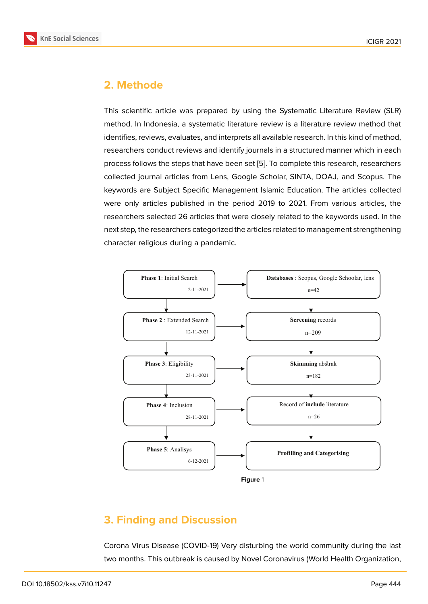### **2. Methode**

This scientific article was prepared by using the Systematic Literature Review (SLR) method. In Indonesia, a systematic literature review is a literature review method that identifies, reviews, evaluates, and interprets all available research. In this kind of method, researchers conduct reviews and identify journals in a structured manner which in each process follows the steps that have been set [5]. To complete this research, researchers collected journal articles from Lens, Google Scholar, SINTA, DOAJ, and Scopus. The keywords are Subject Specific Management Islamic Education. The articles collected were only articles published in the period [20](#page-7-2)19 to 2021. From various articles, the researchers selected 26 articles that were closely related to the keywords used. In the next step, the researchers categorized the articles related to management strengthening character religious during a pandemic.



## **3. Finding and Discussion**

Corona Virus Disease (COVID-19) Very disturbing the world community during the last two months. This outbreak is caused by Novel Coronavirus (World Health Organization,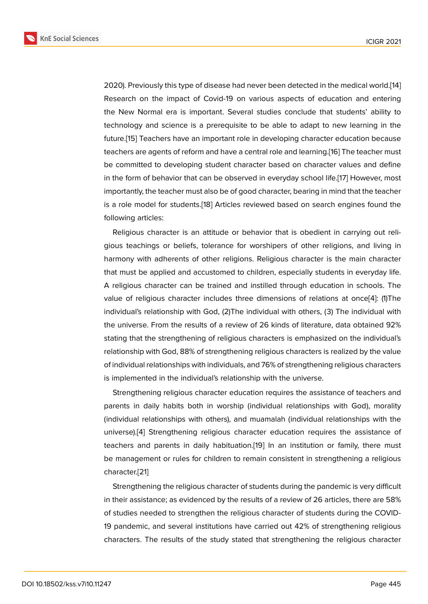2020). Previously this type of disease had never been detected in the medical world.[14] Research on the impact of Covid-19 on various aspects of education and entering the New Normal era is important. Several studies conclude that students' ability to technology and science is a prerequisite to be able to adapt to new learning in [the](#page-8-0) future.[15] Teachers have an important role in developing character education because teachers are agents of reform and have a central role and learning.[16] The teacher must be committed to developing student character based on character values and define in the f[orm](#page-8-1) of behavior that can be observed in everyday school life.[17] However, most importantly, the teacher must also be of good character, bearing in [min](#page-8-2)d that the teacher is a role model for students.[18] Articles reviewed based on search engines found the following articles:

Religious character is an attitude or behavior that is obedient in carrying out religious teachings or beliefs, [tole](#page-8-3)rance for worshipers of other religions, and living in harmony with adherents of other religions. Religious character is the main character that must be applied and accustomed to children, especially students in everyday life. A religious character can be trained and instilled through education in schools. The value of religious character includes three dimensions of relations at once[4]: (1)The individual's relationship with God, (2)The individual with others, (3) The individual with the universe. From the results of a review of 26 kinds of literature, data obtained 92% stating that the strengthening of religious characters is emphasized on the in[di](#page-7-1)vidual's relationship with God, 88% of strengthening religious characters is realized by the value of individual relationships with individuals, and 76% of strengthening religious characters is implemented in the individual's relationship with the universe.

Strengthening religious character education requires the assistance of teachers and parents in daily habits both in worship (individual relationships with God), morality (individual relationships with others), and muamalah (individual relationships with the universe).[4] Strengthening religious character education requires the assistance of teachers and parents in daily habituation.[19] In an institution or family, there must be management or rules for children to remain consistent in strengthening a religious character.[\[2](#page-7-1)1]

Strengthening the religious character of s[tud](#page-8-4)ents during the pandemic is very difficult in their assistance; as evidenced by the results of a review of 26 articles, there are 58% of studies [ne](#page-8-5)eded to strengthen the religious character of students during the COVID-19 pandemic, and several institutions have carried out 42% of strengthening religious characters. The results of the study stated that strengthening the religious character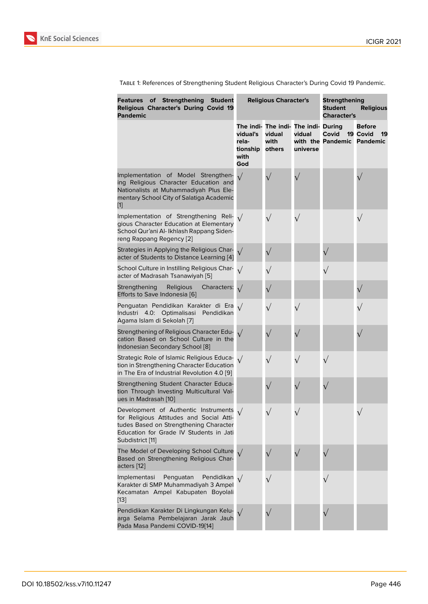Table 1: References of Strengthening Student Religious Character's During Covid 19 Pandemic.

| <b>Features of Strengthening</b><br><b>Student</b><br>Religious Character's During Covid 19<br><b>Pandemic</b>                                                                                      | <b>Religious Character's</b>                 |                                                                  |                    | <b>Strengthening</b><br><b>Student</b><br><b>Religious</b><br><b>Character's</b> |                                 |
|-----------------------------------------------------------------------------------------------------------------------------------------------------------------------------------------------------|----------------------------------------------|------------------------------------------------------------------|--------------------|----------------------------------------------------------------------------------|---------------------------------|
|                                                                                                                                                                                                     | vidual's<br>rela-<br>tionship<br>with<br>God | The indi- The indi- The indi- During<br>vidual<br>with<br>others | vidual<br>universe | Covid<br>with the Pandemic Pandemic                                              | <b>Before</b><br>19 Covid<br>19 |
| Implementation of Model Strengthen-<br>ing Religious Character Education and<br>Nationalists at Muhammadiyah Plus Ele-<br>mentary School City of Salatiga Academic<br>$[1]$                         | $\sqrt{}$                                    |                                                                  |                    |                                                                                  |                                 |
| Implementation of Strengthening Reli-<br>gious Character Education at Elementary<br>School Qur'ani Al-Ikhlash Rappang Siden-<br>reng Rappang Regency [2]                                            | $\sqrt{ }$                                   | $\sqrt{}$                                                        | $\sqrt{}$          |                                                                                  | $\sqrt{}$                       |
| Strategies in Applying the Religious Char-<br>acter of Students to Distance Learning [4]                                                                                                            | $\sqrt{}$                                    | $\sqrt{}$                                                        |                    |                                                                                  |                                 |
| School Culture in Instilling Religious Char-<br>acter of Madrasah Tsanawiyah [5]                                                                                                                    | $\sqrt{ }$                                   | $\sqrt{}$                                                        |                    | $\sqrt{}$                                                                        |                                 |
| Strengthening<br>Religious<br>Characters:<br>Efforts to Save Indonesia [6]                                                                                                                          | $\sqrt{}$                                    | $\sqrt{}$                                                        |                    |                                                                                  | $\sqrt{}$                       |
| Penguatan Pendidikan Karakter di Era<br>Optimalisasi Pendidikan<br>Industri 4.0:<br>Agama Islam di Sekolah [7]                                                                                      |                                              | $\sqrt{}$                                                        |                    |                                                                                  |                                 |
| Strengthening of Religious Character Edu-<br>cation Based on School Culture in the<br>Indonesian Secondary School [8]                                                                               |                                              |                                                                  |                    |                                                                                  |                                 |
| Strategic Role of Islamic Religious Educa-<br>tion in Strengthening Character Education<br>in The Era of Industrial Revolution 4.0 [9]                                                              |                                              | $\sqrt{}$                                                        | $\sqrt{}$          | $\sqrt{}$                                                                        |                                 |
| Strengthening Student Character Educa-<br>tion Through Investing Multicultural Val-<br>ues in Madrasah [10]                                                                                         |                                              |                                                                  |                    | $\sqrt{}$                                                                        |                                 |
| Development of Authentic Instruments $\sqrt{}$<br>for Religious Attitudes and Social Atti-<br>tudes Based on Strengthening Character<br>Education for Grade IV Students in Jati<br>Subdistrict [11] |                                              | $\sqrt{}$                                                        |                    |                                                                                  |                                 |
| The Model of Developing School Culture<br>Based on Strengthening Religious Char-<br>acters [12]                                                                                                     |                                              | $\sqrt{}$                                                        | $\sqrt{}$          | $\sqrt{}$                                                                        |                                 |
| Penguatan<br>Implementasi<br>Pendidikan<br>Karakter di SMP Muhammadiyah 3 Ampel<br>Kecamatan Ampel Kabupaten Boyolali<br>[13]                                                                       |                                              | $\sqrt{}$                                                        |                    | $\sqrt{}$                                                                        |                                 |
| Pendidikan Karakter Di Lingkungan Kelu-<br>arga Selama Pembelajaran Jarak Jauh<br>Pada Masa Pandemi COVID-19[14]                                                                                    | $\sqrt{}$                                    |                                                                  |                    |                                                                                  |                                 |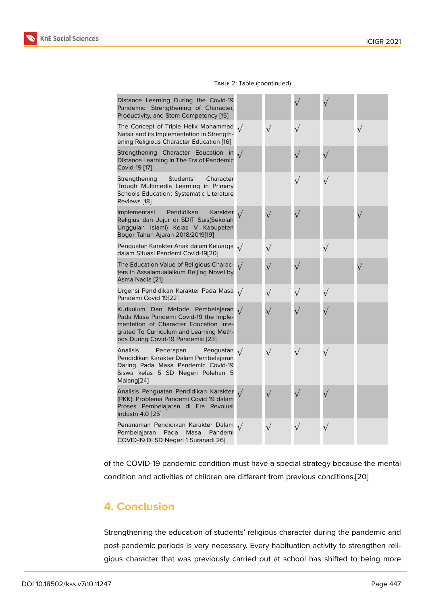#### Table 2: Table (coontinued)

| Distance Learning During the Covid-19<br>Pandemic: Strengthening of Character,<br>Productivity, and Stem Competency [15]                                                                             |            |           |           |           |  |
|------------------------------------------------------------------------------------------------------------------------------------------------------------------------------------------------------|------------|-----------|-----------|-----------|--|
| The Concept of Triple Helix Mohammad<br>Natsir and its Implementation in Strength-<br>ening Religious Character Education [16]                                                                       | $\sqrt{ }$ | $\sqrt{}$ |           |           |  |
| Strengthening Character Education in<br>Distance Learning in The Era of Pandemic<br>Covid-19 [17]                                                                                                    | $\sqrt{}$  |           |           | $\sqrt{}$ |  |
| Students'<br>Strengthening<br>Character<br>Trough Multimedia Learning in Primary<br>Schools Education: Systematic Literature<br>Reviews [18]                                                         |            |           |           | $\sqrt{}$ |  |
| Implementasi<br>Pendidikan<br>Karakter<br>Religius dan Jujur di SDIT Suis(Sekolah<br>Unggulan Islami) Kelas V Kabupaten<br>Bogor Tahun Ajaran 2018/2019[19]                                          |            | $\sqrt{}$ |           |           |  |
| Penguatan Karakter Anak dalam Keluarga<br>dalam Situasi Pandemi Covid-19[20]                                                                                                                         | $\sqrt{ }$ | $\sqrt{}$ |           | $\sqrt{}$ |  |
| The Education Value of Religious Charac-<br>ters in Assalamualaikum Beijing Novel by<br>Asma Nadia [21]                                                                                              | $\sqrt{}$  | $\sqrt{}$ |           |           |  |
| Urgensi Pendidikan Karakter Pada Masa<br>Pandemi Covid 19[22]                                                                                                                                        | $\sqrt{ }$ | $\sqrt{}$ | $\sqrt{}$ | $\sqrt{}$ |  |
| Kurikulum Dan Metode Pembelajaran<br>Pada Masa Pandemi Covid-19 the Imple-<br>mentation of Character Education Inte-<br>grated To Curriculum and Learning Meth-<br>ods During Covid-19 Pandemic [23] |            |           |           |           |  |
| <b>Analisis</b><br>Penerapan<br>Penguatan<br>Pendidikan Karakter Dalam Pembelajaran<br>Daring Pada Masa Pandemic Covid-19<br>Siswa kelas 5 SD Negeri Polehan 5<br>Malang[24]                         | $\sqrt{ }$ | $\sqrt{}$ |           | $\sqrt{}$ |  |
| Analisis Penguatan Pendidikan Karakter<br>(PKK): Problema Pandemi Covid 19 dalam<br>Proses Pembelajaran di Era Revolusi<br>Industri 4.0 [25]                                                         |            |           |           |           |  |
| Penanaman Pendidikan Karakter Dalam<br>Masa<br>Pada<br>Pandemi<br>Pembelajaran<br>COVID-19 Di SD Negeri 1 Suranadi[26]                                                                               |            | $\sqrt{}$ |           | $\sqrt{}$ |  |

of the COVID-19 pandemic condition must have a special strategy because the mental condition and activities of childr[en](#page-9-0) are different from previous conditions.[20]

### **4. Conclusion**

Strengthening the education of students' religious character during the pandemic and post-pandemic periods is very necessary. Every habituation activity to strengthen religious character that was previously carried out at school has shifted to being more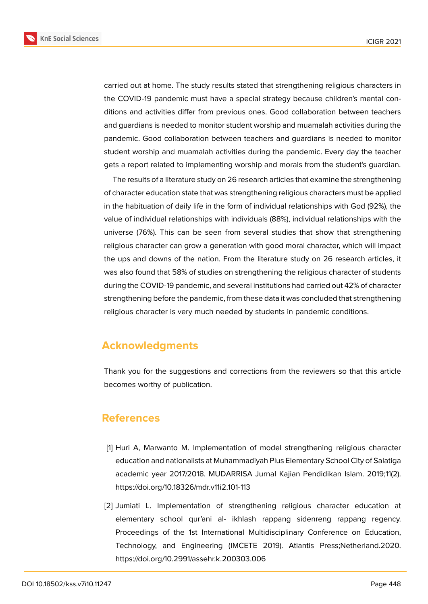**KnE Social Sciences** 



carried out at home. The study results stated that strengthening religious characters in the COVID-19 pandemic must have a special strategy because children's mental conditions and activities differ from previous ones. Good collaboration between teachers and guardians is needed to monitor student worship and muamalah activities during the pandemic. Good collaboration between teachers and guardians is needed to monitor student worship and muamalah activities during the pandemic. Every day the teacher gets a report related to implementing worship and morals from the student's guardian.

The results of a literature study on 26 research articles that examine the strengthening of character education state that was strengthening religious characters must be applied in the habituation of daily life in the form of individual relationships with God (92%), the value of individual relationships with individuals (88%), individual relationships with the universe (76%). This can be seen from several studies that show that strengthening religious character can grow a generation with good moral character, which will impact the ups and downs of the nation. From the literature study on 26 research articles, it was also found that 58% of studies on strengthening the religious character of students during the COVID-19 pandemic, and several institutions had carried out 42% of character strengthening before the pandemic, from these data it was concluded that strengthening religious character is very much needed by students in pandemic conditions.

### **Acknowledgments**

Thank you for the suggestions and corrections from the reviewers so that this article becomes worthy of publication.

### **References**

- <span id="page-6-0"></span>[1] Huri A, Marwanto M. Implementation of model strengthening religious character education and nationalists at Muhammadiyah Plus Elementary School City of Salatiga academic year 2017/2018. MUDARRISA Jurnal Kajian Pendidikan Islam. 2019;11(2). https://doi.org/10.18326/mdr.v11i2.101-113
- <span id="page-6-1"></span>[2] Jumiati L. Implementation of strengthening religious character education at elementary school qur'ani al- ikhlash rappang sidenreng rappang regency. Proceedings of the 1st International Multidisciplinary Conference on Education, Technology, and Engineering (IMCETE 2019). Atlantis Press;Netherland.2020. https://doi.org/10.2991/assehr.k.200303.006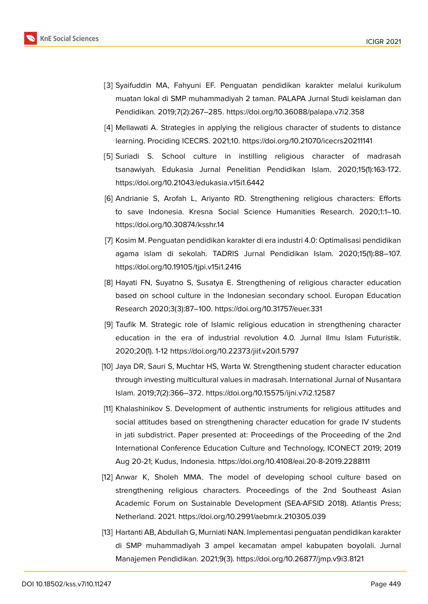

- <span id="page-7-0"></span>[3] Syaifuddin MA, Fahyuni EF. Penguatan pendidikan karakter melalui kurikulum muatan lokal di SMP muhammadiyah 2 taman. PALAPA Jurnal Studi keislaman dan Pendidikan. 2019;7(2):267–285. https://doi.org/10.36088/palapa.v7i2.358
- <span id="page-7-1"></span>[4] Mellawati A. Strategies in applying the religious character of students to distance learning. Prociding ICECRS. 2021;10. https://doi.org/10.21070/icecrs20211141
- <span id="page-7-2"></span>[5] Suriadi S. School culture in instilling religious character of madrasah tsanawiyah. Edukasia Jurnal Penelitian Pendidikan Islam. 2020;15(1):163-172. https://doi.org/10.21043/edukasia.v15i1.6442
- <span id="page-7-3"></span>[6] Andrianie S, Arofah L, Ariyanto RD. Strengthening religious characters: Efforts to save Indonesia. Kresna Social Science Humanities Research. 2020;1:1–10. https://doi.org/10.30874/ksshr.14
- <span id="page-7-8"></span>[7] Kosim M. Penguatan pendidikan karakter di era industri 4.0: Optimalisasi pendidikan agama islam di sekolah. TADRIS Jurnal Pendidikan Islam. 2020;15(1):88–107. https://doi.org/10.19105/tjpi.v15i1.2416
- <span id="page-7-4"></span>[8] Hayati FN, Suyatno S, Susatya E. Strengthening of religious character education based on school culture in the Indonesian secondary school. Europan Education Research 2020;3(3):87–100. https://doi.org/10.31757/euer.331
- <span id="page-7-5"></span>[9] Taufik M. Strategic role of Islamic religious education in strengthening character education in the era of industrial revolution 4.0. Jurnal Ilmu Islam Futuristik. 2020;20(1). 1-12 https://doi.org/10.22373/jiif.v20i1.5797
- <span id="page-7-6"></span>[10] Jaya DR, Sauri S, Muchtar HS, Warta W. Strengthening student character education through investing multicultural values in madrasah. International Jurnal of Nusantara Islam. 2019;7(2):366–372. https://doi.org/10.15575/ijni.v7i2.12587
- <span id="page-7-7"></span>[11] Khalashinikov S. Development of authentic instruments for religious attitudes and social attitudes based on strengthening character education for grade IV students in jati subdistrict. Paper presented at: Proceedings of the Proceeding of the 2nd International Conference Education Culture and Technology, ICONECT 2019; 2019 Aug 20-21; Kudus, Indonesia. https://doi.org/10.4108/eai.20-8-2019.2288111
- [12] Anwar K, Sholeh MMA. The model of developing school culture based on strengthening religious characters. Proceedings of the 2nd Southeast Asian Academic Forum on Sustainable Development (SEA-AFSID 2018). Atlantis Press; Netherland. 2021. https://doi.org/10.2991/aebmr.k.210305.039
- [13] Hartanti AB, Abdullah G, Murniati NAN. Implementasi penguatan pendidikan karakter di SMP muhammadiyah 3 ampel kecamatan ampel kabupaten boyolali. Jurnal Manajemen Pendidikan. 2021;9(3). https://doi.org/10.26877/jmp.v9i3.8121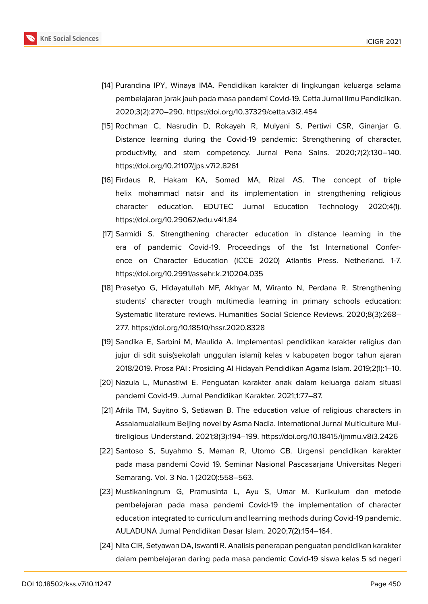

- <span id="page-8-0"></span>[14] Purandina IPY, Winaya IMA. Pendidikan karakter di lingkungan keluarga selama pembelajaran jarak jauh pada masa pandemi Covid-19. Cetta Jurnal Ilmu Pendidikan. 2020;3(2):270–290. https://doi.org/10.37329/cetta.v3i2.454
- <span id="page-8-1"></span>[15] Rochman C, Nasrudin D, Rokayah R, Mulyani S, Pertiwi CSR, Ginanjar G. Distance learning during the Covid-19 pandemic: Strengthening of character, productivity, and stem competency. Jurnal Pena Sains. 2020;7(2):130–140. https://doi.org/10.21107/jps.v7i2.8261
- <span id="page-8-2"></span>[16] Firdaus R, Hakam KA, Somad MA, Rizal AS. The concept of triple helix mohammad natsir and its implementation in strengthening religious character education. EDUTEC Jurnal Education Technology 2020;4(1). https://doi.org/10.29062/edu.v4i1.84
- <span id="page-8-6"></span>[17] Sarmidi S. Strengthening character education in distance learning in the era of pandemic Covid-19. Proceedings of the 1st International Conference on Character Education (ICCE 2020) Atlantis Press. Netherland. 1-7. https://doi.org/10.2991/assehr.k.210204.035
- <span id="page-8-3"></span>[18] Prasetyo G, Hidayatullah MF, Akhyar M, Wiranto N, Perdana R. Strengthening students' character trough multimedia learning in primary schools education: Systematic literature reviews. Humanities Social Science Reviews. 2020;8(3):268– 277. https://doi.org/10.18510/hssr.2020.8328
- <span id="page-8-4"></span>[19] Sandika E, Sarbini M, Maulida A. Implementasi pendidikan karakter religius dan jujur di sdit suis(sekolah unggulan islami) kelas v kabupaten bogor tahun ajaran 2018/2019. Prosa PAI : Prosiding Al Hidayah Pendidikan Agama Islam. 2019;2(1):1–10.
- <span id="page-8-7"></span>[20] Nazula L, Munastiwi E. Penguatan karakter anak dalam keluarga dalam situasi pandemi Covid-19. Jurnal Pendidikan Karakter. 2021;1:77–87.
- <span id="page-8-5"></span>[21] Afrila TM, Suyitno S, Setiawan B. The education value of religious characters in Assalamualaikum Beijing novel by Asma Nadia. International Jurnal Multiculture Multireligious Understand. 2021;8(3):194–199. https://doi.org/10.18415/ijmmu.v8i3.2426
- <span id="page-8-8"></span>[22] Santoso S, Suyahmo S, Maman R, Utomo CB. Urgensi pendidikan karakter pada masa pandemi Covid 19. Seminar Nasional Pascasarjana Universitas Negeri Semarang. Vol. 3 No. 1 (2020):558–563.
- <span id="page-8-9"></span>[23] Mustikaningrum G, Pramusinta L, Ayu S, Umar M. Kurikulum dan metode pembelajaran pada masa pandemi Covid-19 the implementation of character education integrated to curriculum and learning methods during Covid-19 pandemic. AULADUNA Jurnal Pendidikan Dasar Islam. 2020;7(2):154–164.
- <span id="page-8-10"></span>[24] Nita CIR, Setyawan DA, Iswanti R. Analisis penerapan penguatan pendidikan karakter dalam pembelajaran daring pada masa pandemic Covid-19 siswa kelas 5 sd negeri